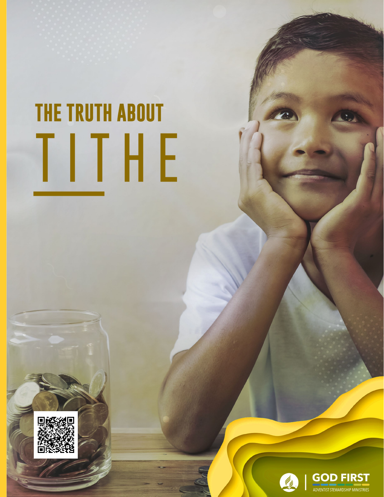# **THE TRUTH ABOUT** TITHE



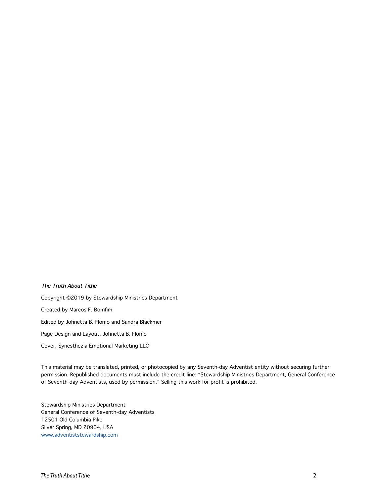#### **The Truth About Tithe**

Copyright ©2019 by Stewardship Ministries Department Created by Marcos F. Bomfim Edited by Johnetta B. Flomo and Sandra Blackmer Page Design and Layout, Johnetta B. Flomo

Cover, Synesthezia Emotional Marketing LLC

This material may be translated, printed, or photocopied by any Seventh-day Adventist entity without securing further permission. Republished documents must include the credit line: "Stewardship Ministries Department, General Conference of Seventh-day Adventists, used by permission." Selling this work for profit is prohibited.

Stewardship Ministries Department General Conference of Seventh-day Adventists 12501 Old Columbia Pike Silver Spring, MD 20904, USA www.adventiststewardship.com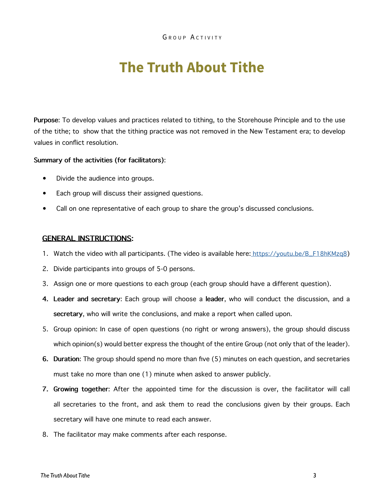# **The Truth About Tithe**

**Purpose**: To develop values and practices related to tithing, to the Storehouse Principle and to the use of the tithe; to show that the tithing practice was not removed in the New Testament era; to develop values in conflict resolution.

#### **Summary of the activities (for facilitators)**:

- Divide the audience into groups.
- Each group will discuss their assigned questions.
- Call on one representative of each group to share the group's discussed conclusions.

#### **GENERAL INSTRUCTIONS:**

- 1. Watch the video with all participants. (The video is available here[:]( https://youtu.be/GhkUQyQanCo) https://youtu.be/B\_F18hKMzq8)
- 2. Divide participants into groups of 5-0 persons.
- 3. Assign one or more questions to each group (each group should have a different question).
- **4. Leader and secretary**: Each group will choose a **leader**, who will conduct the discussion, and a **secretary**, who will write the conclusions, and make a report when called upon.
- 5. Group opinion: In case of open questions (no right or wrong answers), the group should discuss which opinion(s) would better express the thought of the entire Group (not only that of the leader).
- **6. Duration**: The group should spend no more than five (5) minutes on each question, and secretaries must take no more than one (1) minute when asked to answer publicly.
- **7. Growing together**: After the appointed time for the discussion is over, the facilitator will call all secretaries to the front, and ask them to read the conclusions given by their groups. Each secretary will have one minute to read each answer.
- 8. The facilitator may make comments after each response.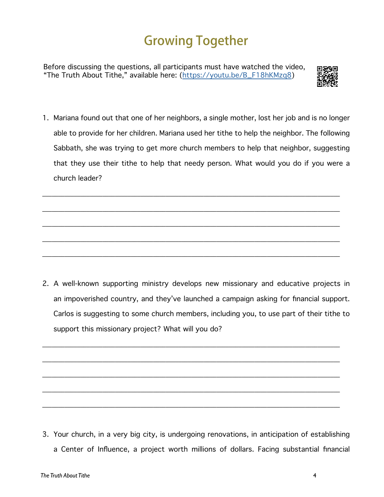## **Growing Together**

Before discussing the questions, all participants must have watched the video, "The Truth About Tithe," available here: (https://youtu.be/B\_F18hKMzq8)



1. Mariana found out that one of her neighbors, a single mother, lost her job and is no longer able to provide for her children. Mariana used her tithe to help the neighbor. The following Sabbath, she was trying to get more church members to help that neighbor, suggesting that they use their tithe to help that needy person. What would you do if you were a church leader?

\_\_\_\_\_\_\_\_\_\_\_\_\_\_\_\_\_\_\_\_\_\_\_\_\_\_\_\_\_\_\_\_\_\_\_\_\_\_\_\_\_\_\_\_\_\_\_\_\_\_\_\_\_\_\_\_\_\_\_\_\_\_\_\_\_\_\_\_\_\_\_\_\_\_\_\_\_\_\_\_\_\_\_\_\_\_\_\_\_\_\_\_\_\_

\_\_\_\_\_\_\_\_\_\_\_\_\_\_\_\_\_\_\_\_\_\_\_\_\_\_\_\_\_\_\_\_\_\_\_\_\_\_\_\_\_\_\_\_\_\_\_\_\_\_\_\_\_\_\_\_\_\_\_\_\_\_\_\_\_\_\_\_\_\_\_\_\_\_\_\_\_\_\_\_\_\_\_\_\_\_\_\_\_\_\_\_\_\_

\_\_\_\_\_\_\_\_\_\_\_\_\_\_\_\_\_\_\_\_\_\_\_\_\_\_\_\_\_\_\_\_\_\_\_\_\_\_\_\_\_\_\_\_\_\_\_\_\_\_\_\_\_\_\_\_\_\_\_\_\_\_\_\_\_\_\_\_\_\_\_\_\_\_\_\_\_\_\_\_\_\_\_\_\_\_\_\_\_\_\_\_\_\_

\_\_\_\_\_\_\_\_\_\_\_\_\_\_\_\_\_\_\_\_\_\_\_\_\_\_\_\_\_\_\_\_\_\_\_\_\_\_\_\_\_\_\_\_\_\_\_\_\_\_\_\_\_\_\_\_\_\_\_\_\_\_\_\_\_\_\_\_\_\_\_\_\_\_\_\_\_\_\_\_\_\_\_\_\_\_\_\_\_\_\_\_\_\_

\_\_\_\_\_\_\_\_\_\_\_\_\_\_\_\_\_\_\_\_\_\_\_\_\_\_\_\_\_\_\_\_\_\_\_\_\_\_\_\_\_\_\_\_\_\_\_\_\_\_\_\_\_\_\_\_\_\_\_\_\_\_\_\_\_\_\_\_\_\_\_\_\_\_\_\_\_\_\_\_\_\_\_\_\_\_\_\_\_\_\_\_\_\_

2. A well-known supporting ministry develops new missionary and educative projects in an impoverished country, and they've launched a campaign asking for financial support. Carlos is suggesting to some church members, including you, to use part of their tithe to support this missionary project? What will you do?

\_\_\_\_\_\_\_\_\_\_\_\_\_\_\_\_\_\_\_\_\_\_\_\_\_\_\_\_\_\_\_\_\_\_\_\_\_\_\_\_\_\_\_\_\_\_\_\_\_\_\_\_\_\_\_\_\_\_\_\_\_\_\_\_\_\_\_\_\_\_\_\_\_\_\_\_\_\_\_\_\_\_\_\_\_\_\_\_\_\_\_\_\_\_

\_\_\_\_\_\_\_\_\_\_\_\_\_\_\_\_\_\_\_\_\_\_\_\_\_\_\_\_\_\_\_\_\_\_\_\_\_\_\_\_\_\_\_\_\_\_\_\_\_\_\_\_\_\_\_\_\_\_\_\_\_\_\_\_\_\_\_\_\_\_\_\_\_\_\_\_\_\_\_\_\_\_\_\_\_\_\_\_\_\_\_\_\_\_

\_\_\_\_\_\_\_\_\_\_\_\_\_\_\_\_\_\_\_\_\_\_\_\_\_\_\_\_\_\_\_\_\_\_\_\_\_\_\_\_\_\_\_\_\_\_\_\_\_\_\_\_\_\_\_\_\_\_\_\_\_\_\_\_\_\_\_\_\_\_\_\_\_\_\_\_\_\_\_\_\_\_\_\_\_\_\_\_\_\_\_\_\_\_

\_\_\_\_\_\_\_\_\_\_\_\_\_\_\_\_\_\_\_\_\_\_\_\_\_\_\_\_\_\_\_\_\_\_\_\_\_\_\_\_\_\_\_\_\_\_\_\_\_\_\_\_\_\_\_\_\_\_\_\_\_\_\_\_\_\_\_\_\_\_\_\_\_\_\_\_\_\_\_\_\_\_\_\_\_\_\_\_\_\_\_\_\_\_

\_\_\_\_\_\_\_\_\_\_\_\_\_\_\_\_\_\_\_\_\_\_\_\_\_\_\_\_\_\_\_\_\_\_\_\_\_\_\_\_\_\_\_\_\_\_\_\_\_\_\_\_\_\_\_\_\_\_\_\_\_\_\_\_\_\_\_\_\_\_\_\_\_\_\_\_\_\_\_\_\_\_\_\_\_\_\_\_\_\_\_\_\_\_

3. Your church, in a very big city, is undergoing renovations, in anticipation of establishing a Center of Influence, a project worth millions of dollars. Facing substantial financial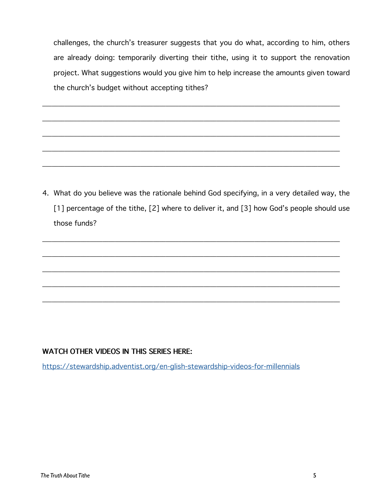challenges, the church's treasurer suggests that you do what, according to him, others are already doing: temporarily diverting their tithe, using it to support the renovation project. What suggestions would you give him to help increase the amounts given toward the church's budget without accepting tithes?

\_\_\_\_\_\_\_\_\_\_\_\_\_\_\_\_\_\_\_\_\_\_\_\_\_\_\_\_\_\_\_\_\_\_\_\_\_\_\_\_\_\_\_\_\_\_\_\_\_\_\_\_\_\_\_\_\_\_\_\_\_\_\_\_\_\_\_\_\_\_\_\_\_\_\_\_\_\_\_\_\_\_\_\_\_\_\_\_\_\_\_\_\_\_

\_\_\_\_\_\_\_\_\_\_\_\_\_\_\_\_\_\_\_\_\_\_\_\_\_\_\_\_\_\_\_\_\_\_\_\_\_\_\_\_\_\_\_\_\_\_\_\_\_\_\_\_\_\_\_\_\_\_\_\_\_\_\_\_\_\_\_\_\_\_\_\_\_\_\_\_\_\_\_\_\_\_\_\_\_\_\_\_\_\_\_\_\_\_

\_\_\_\_\_\_\_\_\_\_\_\_\_\_\_\_\_\_\_\_\_\_\_\_\_\_\_\_\_\_\_\_\_\_\_\_\_\_\_\_\_\_\_\_\_\_\_\_\_\_\_\_\_\_\_\_\_\_\_\_\_\_\_\_\_\_\_\_\_\_\_\_\_\_\_\_\_\_\_\_\_\_\_\_\_\_\_\_\_\_\_\_\_\_

\_\_\_\_\_\_\_\_\_\_\_\_\_\_\_\_\_\_\_\_\_\_\_\_\_\_\_\_\_\_\_\_\_\_\_\_\_\_\_\_\_\_\_\_\_\_\_\_\_\_\_\_\_\_\_\_\_\_\_\_\_\_\_\_\_\_\_\_\_\_\_\_\_\_\_\_\_\_\_\_\_\_\_\_\_\_\_\_\_\_\_\_\_\_

\_\_\_\_\_\_\_\_\_\_\_\_\_\_\_\_\_\_\_\_\_\_\_\_\_\_\_\_\_\_\_\_\_\_\_\_\_\_\_\_\_\_\_\_\_\_\_\_\_\_\_\_\_\_\_\_\_\_\_\_\_\_\_\_\_\_\_\_\_\_\_\_\_\_\_\_\_\_\_\_\_\_\_\_\_\_\_\_\_\_\_\_\_\_

4. What do you believe was the rationale behind God specifying, in a very detailed way, the [1] percentage of the tithe, [2] where to deliver it, and [3] how God's people should use those funds?

\_\_\_\_\_\_\_\_\_\_\_\_\_\_\_\_\_\_\_\_\_\_\_\_\_\_\_\_\_\_\_\_\_\_\_\_\_\_\_\_\_\_\_\_\_\_\_\_\_\_\_\_\_\_\_\_\_\_\_\_\_\_\_\_\_\_\_\_\_\_\_\_\_\_\_\_\_\_\_\_\_\_\_\_\_\_\_\_\_\_\_\_\_\_

\_\_\_\_\_\_\_\_\_\_\_\_\_\_\_\_\_\_\_\_\_\_\_\_\_\_\_\_\_\_\_\_\_\_\_\_\_\_\_\_\_\_\_\_\_\_\_\_\_\_\_\_\_\_\_\_\_\_\_\_\_\_\_\_\_\_\_\_\_\_\_\_\_\_\_\_\_\_\_\_\_\_\_\_\_\_\_\_\_\_\_\_\_\_

\_\_\_\_\_\_\_\_\_\_\_\_\_\_\_\_\_\_\_\_\_\_\_\_\_\_\_\_\_\_\_\_\_\_\_\_\_\_\_\_\_\_\_\_\_\_\_\_\_\_\_\_\_\_\_\_\_\_\_\_\_\_\_\_\_\_\_\_\_\_\_\_\_\_\_\_\_\_\_\_\_\_\_\_\_\_\_\_\_\_\_\_\_\_

\_\_\_\_\_\_\_\_\_\_\_\_\_\_\_\_\_\_\_\_\_\_\_\_\_\_\_\_\_\_\_\_\_\_\_\_\_\_\_\_\_\_\_\_\_\_\_\_\_\_\_\_\_\_\_\_\_\_\_\_\_\_\_\_\_\_\_\_\_\_\_\_\_\_\_\_\_\_\_\_\_\_\_\_\_\_\_\_\_\_\_\_\_\_

\_\_\_\_\_\_\_\_\_\_\_\_\_\_\_\_\_\_\_\_\_\_\_\_\_\_\_\_\_\_\_\_\_\_\_\_\_\_\_\_\_\_\_\_\_\_\_\_\_\_\_\_\_\_\_\_\_\_\_\_\_\_\_\_\_\_\_\_\_\_\_\_\_\_\_\_\_\_\_\_\_\_\_\_\_\_\_\_\_\_\_\_\_\_

#### **WATCH OTHER VIDEOS IN THIS SERIES HERE:**

<https://stewardship.adventist.org/en-glish-stewardship-videos-for-millennials>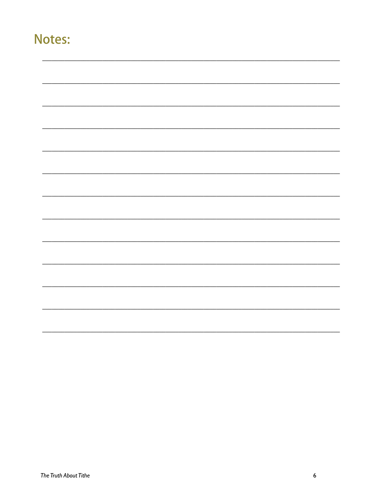### Notes: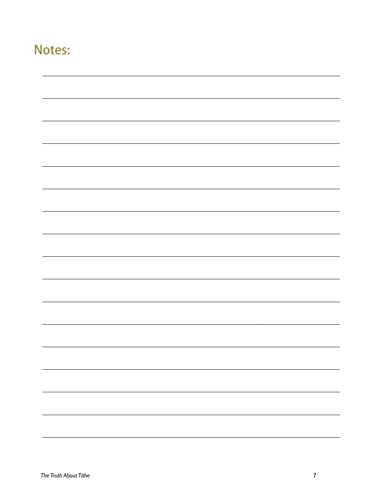## **Notes:**